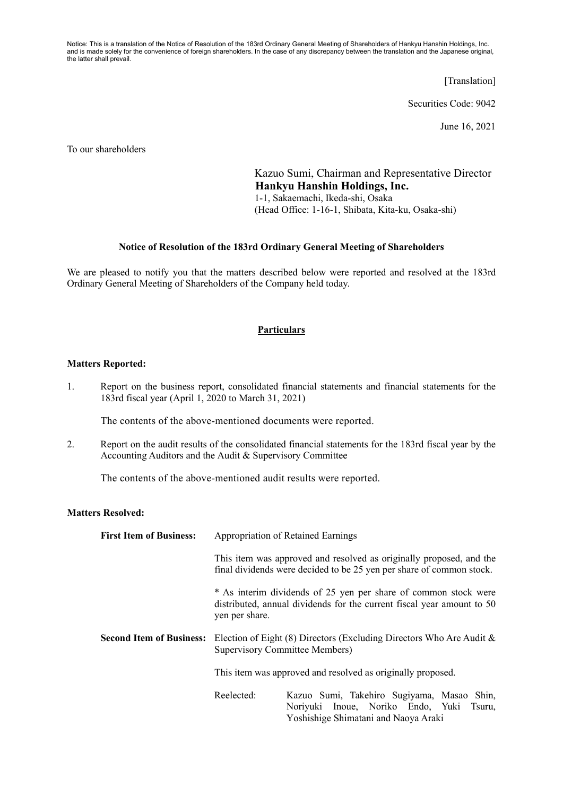Notice: This is a translation of the Notice of Resolution of the 183rd Ordinary General Meeting of Shareholders of Hankyu Hanshin Holdings, Inc. and is made solely for the convenience of foreign shareholders. In the case of any discrepancy between the translation and the Japanese original, the latter shall prevail.

[Translation]

Securities Code: 9042

June 16, 2021

To our shareholders

Kazuo Sumi, Chairman and Representative Director **Hankyu Hanshin Holdings, Inc.**  1-1, Sakaemachi, Ikeda-shi, Osaka (Head Office: 1-16-1, Shibata, Kita-ku, Osaka-shi)

#### **Notice of Resolution of the 183rd Ordinary General Meeting of Shareholders**

We are pleased to notify you that the matters described below were reported and resolved at the 183rd Ordinary General Meeting of Shareholders of the Company held today.

### **Particulars**

#### **Matters Reported:**

1. Report on the business report, consolidated financial statements and financial statements for the 183rd fiscal year (April 1, 2020 to March 31, 2021)

The contents of the above-mentioned documents were reported.

2. Report on the audit results of the consolidated financial statements for the 183rd fiscal year by the Accounting Auditors and the Audit & Supervisory Committee

The contents of the above-mentioned audit results were reported.

## **Matters Resolved:**

| <b>First Item of Business:</b>  | <b>Appropriation of Retained Earnings</b>                                                                                                                   |
|---------------------------------|-------------------------------------------------------------------------------------------------------------------------------------------------------------|
|                                 | This item was approved and resolved as originally proposed, and the<br>final dividends were decided to be 25 yen per share of common stock.                 |
|                                 | * As interim dividends of 25 yen per share of common stock were<br>distributed, annual dividends for the current fiscal year amount to 50<br>yen per share. |
| <b>Second Item of Business:</b> | Election of Eight (8) Directors (Excluding Directors Who Are Audit $\&$<br>Supervisory Committee Members)                                                   |
|                                 | This item was approved and resolved as originally proposed.                                                                                                 |
|                                 | Reelected:<br>Kazuo Sumi, Takehiro Sugiyama, Masao Shin,<br>Noriyuki Inoue, Noriko Endo, Yuki Tsuru,                                                        |

Yoshishige Shimatani and Naoya Araki